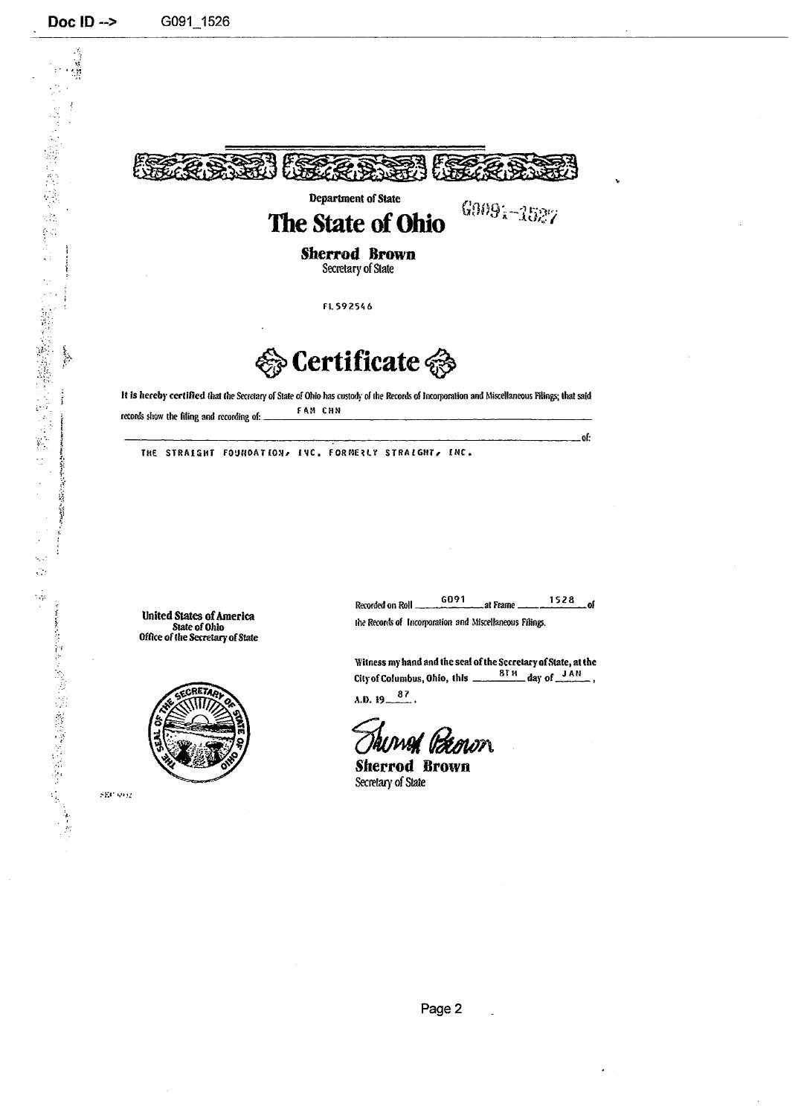

**E**crtificate <a>

**li** is hereby certified (hat the Secretary of Stale of Ohio has custody of ihe Records of Incorporation and Miscellaneous Filings; that said records show the filing and recording of: FAM CHN

THE STRAIGHT FOUNDATION, IVC, FORMERLY STRAIGHT, INC.

United States of America State of Ohio Office of the Secretary of State



 $\mathrm{SEC}$  to  $\Omega$ 

G091 1528  $\overline{\phantom{a}}$ of Recorded on Roll. .at Frame.

-Of:

the Records of Incorporation and Miscellaneous Filings.

Witness my hand and the seal of the Secretary of State, at the<br>City of Columbus, Ohio, this  $\frac{8 \text{B}}{2}$  day of  $\frac{3 \text{A}}{2}$ , City of Columbus, Ohio, this  $\equiv$ A.D.  $19\frac{87}{10}$ .

Auwad Itamon

Sherrod Brown Secretary of State